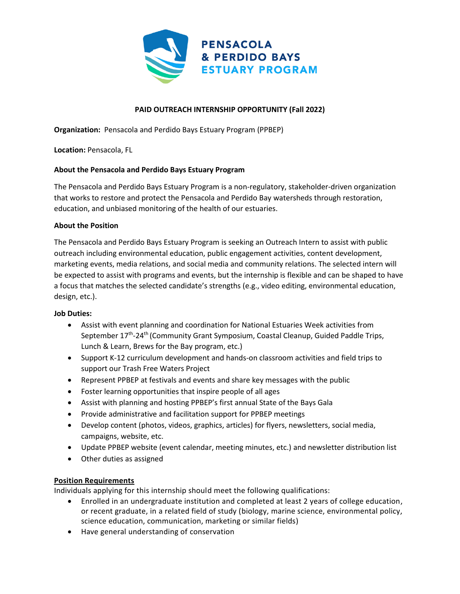

# **PAID OUTREACH INTERNSHIP OPPORTUNITY (Fall 2022)**

**Organization:** Pensacola and Perdido Bays Estuary Program (PPBEP)

**Location:** Pensacola, FL

### **About the Pensacola and Perdido Bays Estuary Program**

The Pensacola and Perdido Bays Estuary Program is a non-regulatory, stakeholder-driven organization that works to restore and protect the Pensacola and Perdido Bay watersheds through restoration, education, and unbiased monitoring of the health of our estuaries.

### **About the Position**

The Pensacola and Perdido Bays Estuary Program is seeking an Outreach Intern to assist with public outreach including environmental education, public engagement activities, content development, marketing events, media relations, and social media and community relations. The selected intern will be expected to assist with programs and events, but the internship is flexible and can be shaped to have a focus that matches the selected candidate's strengths (e.g., video editing, environmental education, design, etc.).

### **Job Duties:**

- Assist with event planning and coordination for National Estuaries Week activities from September 17<sup>th</sup>-24<sup>th</sup> (Community Grant Symposium, Coastal Cleanup, Guided Paddle Trips, Lunch & Learn, Brews for the Bay program, etc.)
- Support K-12 curriculum development and hands-on classroom activities and field trips to support our Trash Free Waters Project
- Represent PPBEP at festivals and events and share key messages with the public
- Foster learning opportunities that inspire people of all ages
- Assist with planning and hosting PPBEP's first annual State of the Bays Gala
- Provide administrative and facilitation support for PPBEP meetings
- Develop content (photos, videos, graphics, articles) for flyers, newsletters, social media, campaigns, website, etc.
- Update PPBEP website (event calendar, meeting minutes, etc.) and newsletter distribution list
- Other duties as assigned

### **Position Requirements**

Individuals applying for this internship should meet the following qualifications:

- Enrolled in an undergraduate institution and completed at least 2 years of college education, or recent graduate, in a related field of study (biology, marine science, environmental policy, science education, communication, marketing or similar fields)
- Have general understanding of conservation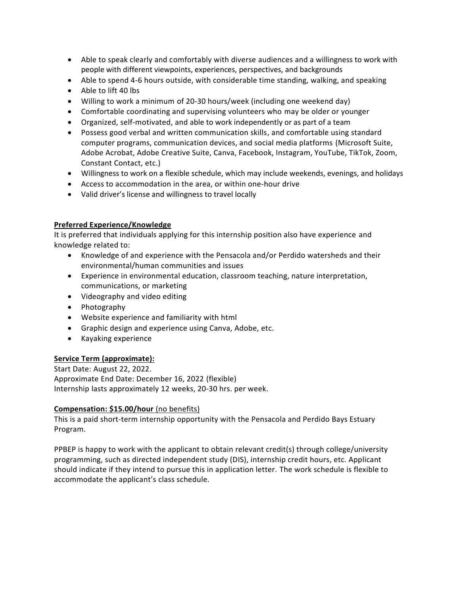- Able to speak clearly and comfortably with diverse audiences and a willingness to work with people with different viewpoints, experiences, perspectives, and backgrounds
- Able to spend 4-6 hours outside, with considerable time standing, walking, and speaking
- Able to lift 40 lbs
- Willing to work a minimum of 20-30 hours/week (including one weekend day)
- Comfortable coordinating and supervising volunteers who may be older or younger
- Organized, self-motivated, and able to work independently or as part of a team
- Possess good verbal and written communication skills, and comfortable using standard computer programs, communication devices, and social media platforms (Microsoft Suite, Adobe Acrobat, Adobe Creative Suite, Canva, Facebook, Instagram, YouTube, TikTok, Zoom, Constant Contact, etc.)
- Willingness to work on a flexible schedule, which may include weekends, evenings, and holidays
- Access to accommodation in the area, or within one-hour drive
- Valid driver's license and willingness to travel locally

### **Preferred Experience/Knowledge**

It is preferred that individuals applying for this internship position also have experience and knowledge related to:

- Knowledge of and experience with the Pensacola and/or Perdido watersheds and their environmental/human communities and issues
- Experience in environmental education, classroom teaching, nature interpretation, communications, or marketing
- Videography and video editing
- Photography
- Website experience and familiarity with html
- Graphic design and experience using Canva, Adobe, etc.
- Kayaking experience

### **Service Term (approximate):**

Start Date: August 22, 2022. Approximate End Date: December 16, 2022 (flexible) Internship lasts approximately 12 weeks, 20-30 hrs. per week.

### **Compensation: \$15.00/hour** (no benefits)

This is a paid short-term internship opportunity with the Pensacola and Perdido Bays Estuary Program.

PPBEP is happy to work with the applicant to obtain relevant credit(s) through college/university programming, such as directed independent study (DIS), internship credit hours, etc. Applicant should indicate if they intend to pursue this in application letter. The work schedule is flexible to accommodate the applicant's class schedule.